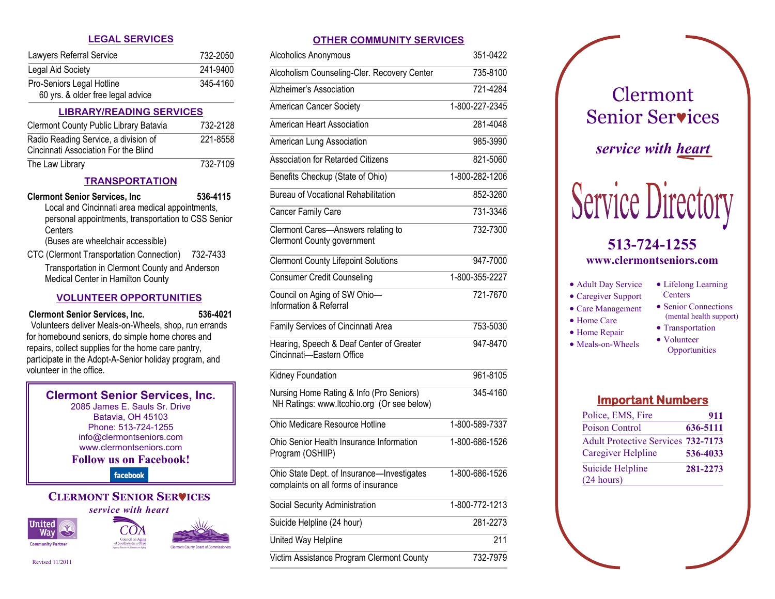| <b>LIBRARY/READING SERVICES</b>   |          |
|-----------------------------------|----------|
| 60 yrs. & older free legal advice |          |
| Pro-Seniors Legal Hotline         | 345-4160 |
| Legal Aid Society                 | 241-9400 |
| Lawyers Referral Service          | 732-2050 |

| Clermont County Public Library Batavia                                       | 732-2128 |
|------------------------------------------------------------------------------|----------|
| Radio Reading Service, a division of<br>Cincinnati Association For the Blind | 221-8558 |
| The Law Library                                                              | 732-7109 |

# **TRANSPORTATION**

- **Clermont Senior Services, Inc 536-4115** Local and Cincinnati area medical appointments, personal appointments, transportation to CSS Senior **Centers** (Buses are wheelchair accessible)
- CTC (Clermont Transportation Connection) 732-7433 Transportation in Clermont County and Anderson Medical Center in Hamilton County

# **VOLUNTEER OPPORTUNITIES**

# **Clermont Senior Services, Inc. 536-4021**

Volunteers deliver Meals-on-Wheels, shop, run errands for homebound seniors, do simple home chores and repairs, collect supplies for the home care pantry, participate in the Adopt-A-Senior holiday program, and volunteer in the office.

#### **Clermont Senior Services, Inc.** 2085 James E. Sauls Sr. Drive

Batavia, OH 45103 Phone: 513-724-1255 info@clermontseniors.com www.clermontseniors.com **Follow us on Facebook!**

facebook

#### **CLERMONT SENIOR SERICES** *service with heart*

**United** Way | **Community Partner** 



Revised 11/2011

# **LEGAL SERVICES OTHER COMMUNITY SERVICES**

| Alcoholics Anonymous                                                                   | 351-0422       |
|----------------------------------------------------------------------------------------|----------------|
| Alcoholism Counseling-Cler. Recovery Center                                            | 735-8100       |
| <b>Alzheimer's Association</b>                                                         | 721-4284       |
| <b>American Cancer Society</b>                                                         | 1-800-227-2345 |
| American Heart Association                                                             | 281-4048       |
| American Lung Association                                                              | 985-3990       |
| <b>Association for Retarded Citizens</b>                                               | 821-5060       |
| Benefits Checkup (State of Ohio)                                                       | 1-800-282-1206 |
| <b>Bureau of Vocational Rehabilitation</b>                                             | 852-3260       |
| Cancer Family Care                                                                     | 731-3346       |
| Clermont Cares-Answers relating to<br><b>Clermont County government</b>                | 732-7300       |
| <b>Clermont County Lifepoint Solutions</b>                                             | 947-7000       |
| <b>Consumer Credit Counseling</b>                                                      | 1-800-355-2227 |
| Council on Aging of SW Ohio-<br>Information & Referral                                 | 721-7670       |
| Family Services of Cincinnati Area                                                     | 753-5030       |
| Hearing, Speech & Deaf Center of Greater<br>Cincinnati-Eastern Office                  | 947-8470       |
| Kidney Foundation                                                                      | 961-8105       |
| Nursing Home Rating & Info (Pro Seniors)<br>NH Ratings: www.ltcohio.org (Or see below) | 345-4160       |
| Ohio Medicare Resource Hotline                                                         | 1-800-589-7337 |
| Ohio Senior Health Insurance Information<br>Program (OSHIIP)                           | 1-800-686-1526 |
| Ohio State Dept. of Insurance-Investigates<br>complaints on all forms of insurance     | 1-800-686-1526 |
| Social Security Administration                                                         | 1-800-772-1213 |
| Suicide Helpline (24 hour)                                                             | 281-2273       |
| United Way Helpline                                                                    | 211            |
| Victim Assistance Program Clermont County                                              | 732-7979       |
|                                                                                        |                |



# **Important Numbers**

| Police, EMS, Fire                         | 911      |
|-------------------------------------------|----------|
| Poison Control                            | 636-5111 |
| <b>Adult Protective Services 732-7173</b> |          |
| Caregiver Helpline                        | 536-4033 |
| Suicide Helpline<br>(24 hours)            | 281-2273 |